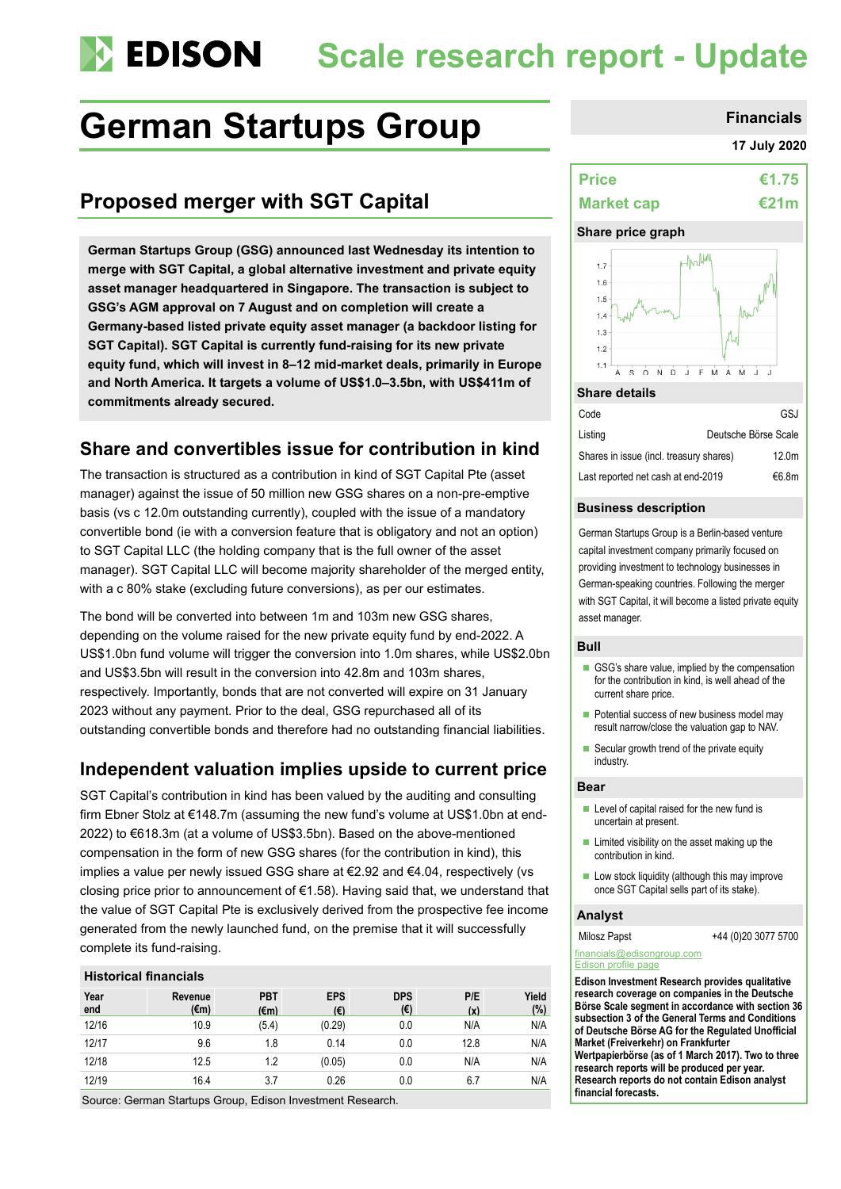# **Scale research report - Update**

# German Startups Group **Financials**

# **Proposed merger with SGT Capital**

**German Startups Group (GSG) announced last Wednesday its intention to merge with SGT Capital, a global alternative investment and private equity asset manager headquartered in Singapore. The transaction is subject to GSG's AGM approval on 7 August and on completion will create a Germany-based listed private equity asset manager (a backdoor listing for SGT Capital). SGT Capital is currently fund-raising for its new private equity fund, which will invest in 8–12 mid-market deals, primarily in Europe and North America. It targets a volume of US\$1.0–3.5bn, with US\$411m of commitments already secured.**

# **Share and convertibles issue for contribution in kind**

The transaction is structured as a contribution in kind of SGT Capital Pte (asset manager) against the issue of 50 million new GSG shares on a non-pre-emptive basis (vs c 12.0m outstanding currently), coupled with the issue of a mandatory convertible bond (ie with a conversion feature that is obligatory and not an option) to SGT Capital LLC (the holding company that is the full owner of the asset manager). SGT Capital LLC will become majority shareholder of the merged entity, with a c 80% stake (excluding future conversions), as per our estimates.

The bond will be converted into between 1m and 103m new GSG shares, depending on the volume raised for the new private equity fund by end-2022. A US\$1.0bn fund volume will trigger the conversion into 1.0m shares, while US\$2.0bn and US\$3.5bn will result in the conversion into 42.8m and 103m shares, respectively. Importantly, bonds that are not converted will expire on 31 January 2023 without any payment. Prior to the deal, GSG repurchased all of its outstanding convertible bonds and therefore had no outstanding financial liabilities.

### **Independent valuation implies upside to current price**

SGT Capital's contribution in kind has been valued by the auditing and consulting firm Ebner Stolz at €148.7m (assuming the new fund's volume at US\$1.0bn at end-2022) to €618.3m (at a volume of US\$3.5bn). Based on the above-mentioned compensation in the form of new GSG shares (for the contribution in kind), this implies a value per newly issued GSG share at €2.92 and €4.04, respectively (vs closing price prior to announcement of €1.58). Having said that, we understand that the value of SGT Capital Pte is exclusively derived from the prospective fee income generated from the newly launched fund, on the premise that it will successfully complete its fund-raising.

#### **Historical financials**

| Year<br>end | Revenue<br>(€m) | <b>PBT</b><br>$(\epsilon m)$ | <b>EPS</b><br>$(\epsilon)$ | <b>DPS</b><br>(€) | P/E<br>(x) | Yield<br>(%) |
|-------------|-----------------|------------------------------|----------------------------|-------------------|------------|--------------|
| 12/16       | 10.9            | (5.4)                        | (0.29)                     | 0.0               | N/A        | N/A          |
| 12/17       | 9.6             | 1.8                          | 0.14                       | 0.0               | 12.8       | N/A          |
| 12/18       | 12.5            | 1.2                          | (0.05)                     | 0.0               | N/A        | N/A          |
| 12/19       | 16.4            | 3.7                          | 0.26                       | 0.0               | 6.7        | N/A          |

Source: German Startups Group, Edison Investment Research.

#### **17 July 2020**

| <b>Price</b>      | €1.75  |
|-------------------|--------|
| <b>Market cap</b> | €21m l |

#### **Share price graph**



| Code                                    | GSJ                  |
|-----------------------------------------|----------------------|
| Listing                                 | Deutsche Börse Scale |
| Shares in issue (incl. treasury shares) | 12.0 <sub>m</sub>    |
| Last reported net cash at end-2019      | €6.8m                |

#### **Business description**

German Startups Group is a Berlin-based venture capital investment company primarily focused on providing investment to technology businesses in German-speaking countries. Following the merger with SGT Capital, it will become a listed private equity asset manager.

#### **Bull**

- GSG's share value, implied by the compensation for the contribution in kind, is well ahead of the current share price.
- $\blacksquare$  Potential success of new business model may result narrow/close the valuation gap to NAV.
- Secular growth trend of the private equity industry.

#### **Bear**

- Level of capital raised for the new fund is uncertain at present.
- **Limited visibility on the asset making up the** contribution in kind.
- Low stock liquidity (although this may improve once SGT Capital sells part of its stake).

#### **Analyst**

Milosz Papst +44 (0)20 3077 5700

[financials@edisongroup.com](mailto:financials@edisongroup.com)

### [Edison profile page](https://www.edisongroup.com/company/german-startups-group/2578/)

**Edison Investment Research provides qualitative research coverage on companies in the Deutsche Börse Scale segment in accordance with section 36 subsection 3 of the General Terms and Conditions of Deutsche Börse AG for the Regulated Unofficial Market (Freiverkehr) on Frankfurter Wertpapierbörse (as of 1 March 2017). Two to three research reports will be produced per year. Research reports do not contain Edison analyst financial forecasts.**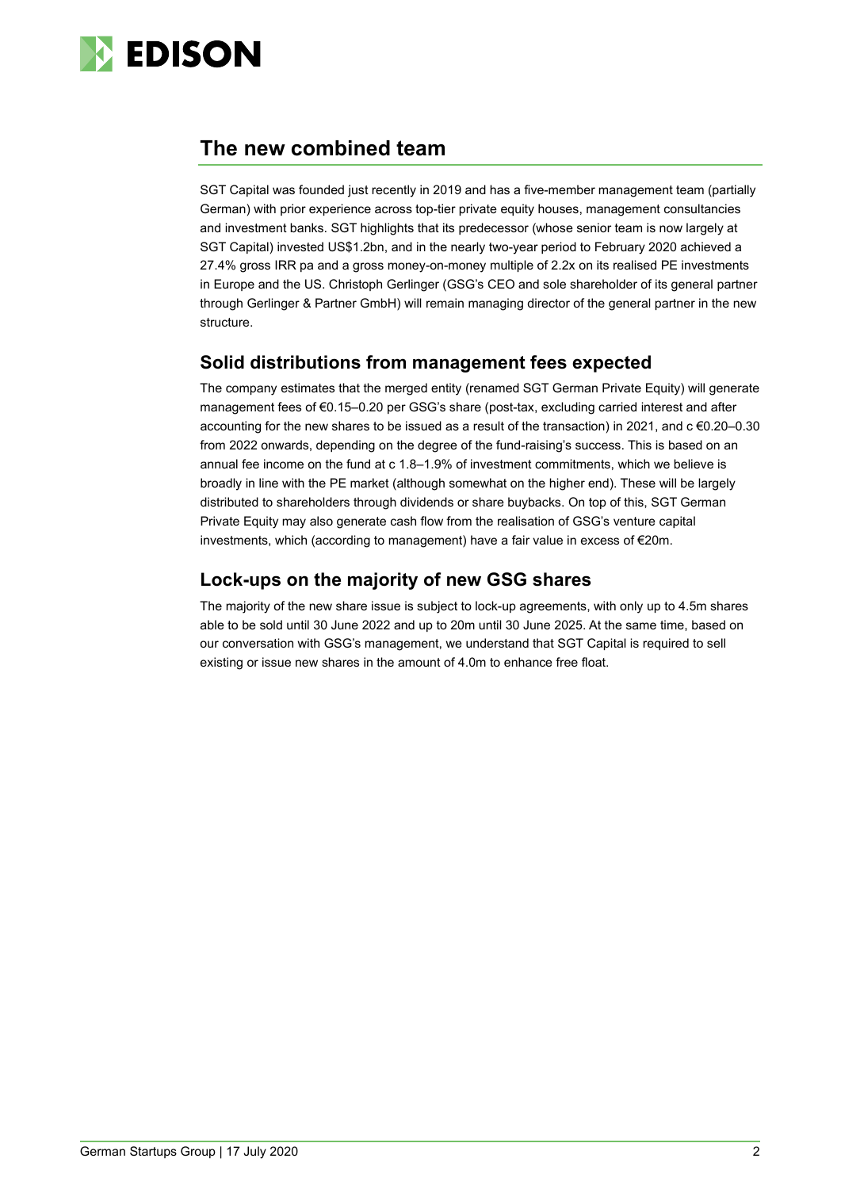

# **The new combined team**

SGT Capital was founded just recently in 2019 and has a five-member management team (partially German) with prior experience across top-tier private equity houses, management consultancies and investment banks. SGT highlights that its predecessor (whose senior team is now largely at SGT Capital) invested US\$1.2bn, and in the nearly two-year period to February 2020 achieved a 27.4% gross IRR pa and a gross money-on-money multiple of 2.2x on its realised PE investments in Europe and the US. Christoph Gerlinger (GSG's CEO and sole shareholder of its general partner through Gerlinger & Partner GmbH) will remain managing director of the general partner in the new structure.

# **Solid distributions from management fees expected**

The company estimates that the merged entity (renamed SGT German Private Equity) will generate management fees of €0.15–0.20 per GSG's share (post-tax, excluding carried interest and after accounting for the new shares to be issued as a result of the transaction) in 2021, and c €0.20–0.30 from 2022 onwards, depending on the degree of the fund-raising's success. This is based on an annual fee income on the fund at c 1.8–1.9% of investment commitments, which we believe is broadly in line with the PE market (although somewhat on the higher end). These will be largely distributed to shareholders through dividends or share buybacks. On top of this, SGT German Private Equity may also generate cash flow from the realisation of GSG's venture capital investments, which (according to management) have a fair value in excess of €20m.

# **Lock-ups on the majority of new GSG shares**

The majority of the new share issue is subject to lock-up agreements, with only up to 4.5m shares able to be sold until 30 June 2022 and up to 20m until 30 June 2025. At the same time, based on our conversation with GSG's management, we understand that SGT Capital is required to sell existing or issue new shares in the amount of 4.0m to enhance free float.